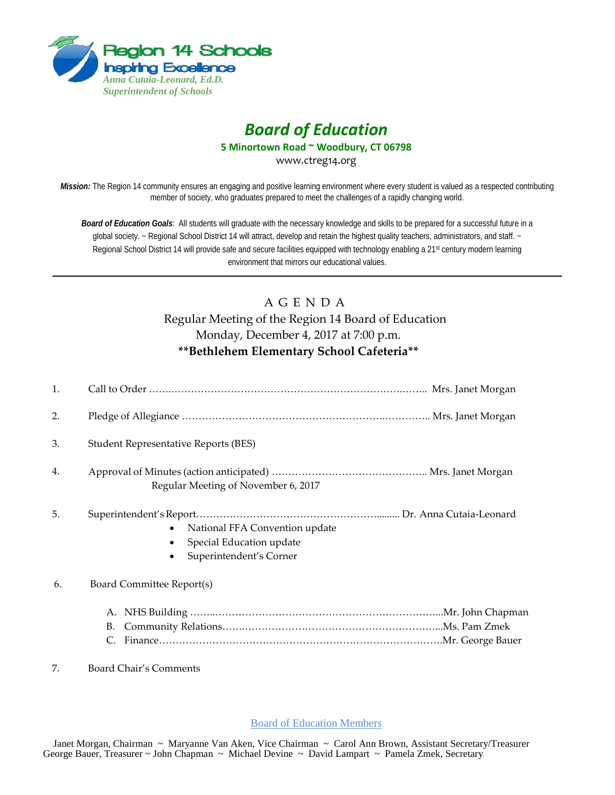

## *Board of Education*

**5 Minortown Road ~ Woodbury, CT 06798**

www.ctreg14.org

*Mission:* The Region 14 community ensures an engaging and positive learning environment where every student is valued as a respected contributing member of society, who graduates prepared to meet the challenges of a rapidly changing world.

*Board of Education Goals:* All students will graduate with the necessary knowledge and skills to be prepared for a successful future in a global society. ~ Regional School District 14 will attract, develop and retain the highest quality teachers, administrators, and staff. ~ Regional School District 14 will provide safe and secure facilities equipped with technology enabling a 21<sup>st</sup> century modern learning environment that mirrors our educational values.

## A G E N D A Regular Meeting of the Region 14 Board of Education Monday, December 4, 2017 at 7:00 p.m. **\*\*Bethlehem Elementary School Cafeteria\*\***

| 1. |                                                                                       |
|----|---------------------------------------------------------------------------------------|
| 2. |                                                                                       |
| 3. | <b>Student Representative Reports (BES)</b>                                           |
| 4. | Regular Meeting of November 6, 2017                                                   |
| 5. | National FFA Convention update<br>Special Education update<br>Superintendent's Corner |
| 6. | Board Committee Report(s)                                                             |
|    | А.                                                                                    |
|    |                                                                                       |

7. Board Chair's Comments

Board of Education Members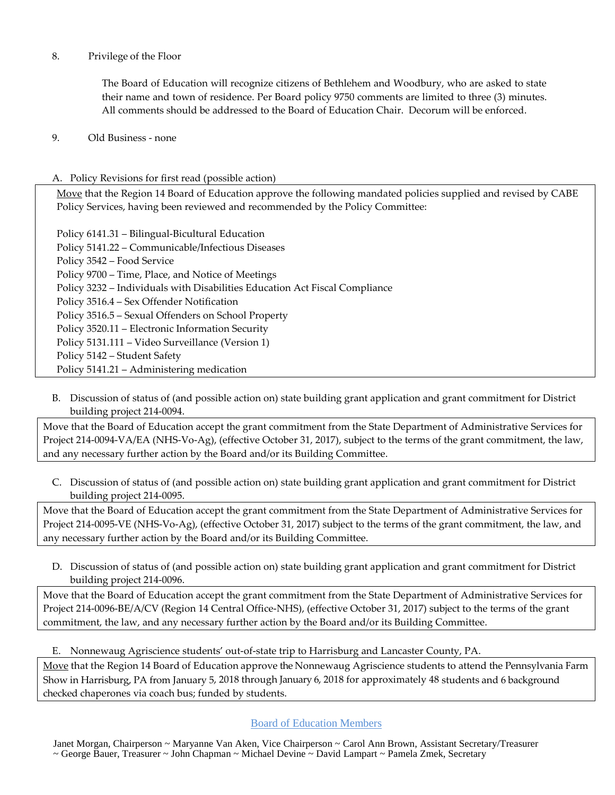8. Privilege of the Floor

The Board of Education will recognize citizens of Bethlehem and Woodbury, who are asked to state their name and town of residence. Per Board policy 9750 comments are limited to three (3) minutes. All comments should be addressed to the Board of Education Chair. Decorum will be enforced.

9. Old Business - none

## A. Policy Revisions for first read (possible action)

Move that the Region 14 Board of Education approve the following mandated policies supplied and revised by CABE Policy Services, having been reviewed and recommended by the Policy Committee:

Policy 6141.31 – Bilingual-Bicultural Education Policy 5141.22 – Communicable/Infectious Diseases Policy 3542 – Food Service Policy 9700 – Time, Place, and Notice of Meetings Policy 3232 – Individuals with Disabilities Education Act Fiscal Compliance Policy 3516.4 – Sex Offender Notification Policy 3516.5 – Sexual Offenders on School Property Policy 3520.11 – Electronic Information Security Policy 5131.111 – Video Surveillance (Version 1) Policy 5142 – Student Safety Policy 5141.21 – Administering medication

B. Discussion of status of (and possible action on) state building grant application and grant commitment for District building project 214-0094.

Move that the Board of Education accept the grant commitment from the State Department of Administrative Services for Project 214-0094-VA/EA (NHS-Vo-Ag), (effective October 31, 2017), subject to the terms of the grant commitment, the law, and any necessary further action by the Board and/or its Building Committee.

C. Discussion of status of (and possible action on) state building grant application and grant commitment for District building project 214-0095.

Move that the Board of Education accept the grant commitment from the State Department of Administrative Services for Project 214-0095-VE (NHS-Vo-Ag), (effective October 31, 2017) subject to the terms of the grant commitment, the law, and any necessary further action by the Board and/or its Building Committee.

D. Discussion of status of (and possible action on) state building grant application and grant commitment for District building project 214-0096.

Move that the Board of Education accept the grant commitment from the State Department of Administrative Services for Project 214-0096-BE/A/CV (Region 14 Central Office-NHS), (effective October 31, 2017) subject to the terms of the grant commitment, the law, and any necessary further action by the Board and/or its Building Committee.

E. Nonnewaug Agriscience students' out-of-state trip to Harrisburg and Lancaster County, PA.

Move that the Region 14 Board of Education approve the Nonnewaug Agriscience students to attend the Pennsylvania Farm Show in Harrisburg, PA from January 5, 2018 through January 6, 2018 for approximately 48 students and 6 background checked chaperones via coach bus; funded by students.

Board of Education Members